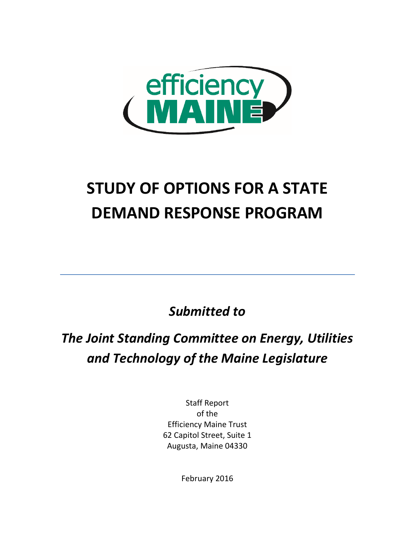

# **STUDY OF OPTIONS FOR A STATE DEMAND RESPONSE PROGRAM**

*Submitted to* 

## *The Joint Standing Committee on Energy, Utilities and Technology of the Maine Legislature*

Staff Report of the Efficiency Maine Trust 62 Capitol Street, Suite 1 Augusta, Maine 04330

February 2016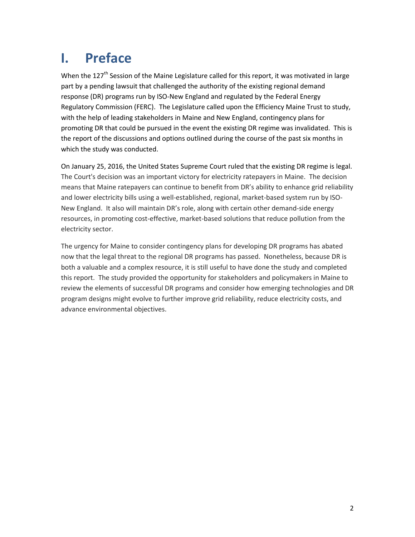## **I. Preface**

When the 127<sup>th</sup> Session of the Maine Legislature called for this report, it was motivated in large part by a pending lawsuit that challenged the authority of the existing regional demand response (DR) programs run by ISO-New England and regulated by the Federal Energy Regulatory Commission (FERC). The Legislature called upon the Efficiency Maine Trust to study, with the help of leading stakeholders in Maine and New England, contingency plans for promoting DR that could be pursued in the event the existing DR regime was invalidated. This is the report of the discussions and options outlined during the course of the past six months in which the study was conducted.

On January 25, 2016, the United States Supreme Court ruled that the existing DR regime is legal. The Court's decision was an important victory for electricity ratepayers in Maine. The decision means that Maine ratepayers can continue to benefit from DR's ability to enhance grid reliability and lower electricity bills using a well-established, regional, market-based system run by ISO-New England. It also will maintain DR's role, along with certain other demand-side energy resources, in promoting cost-effective, market-based solutions that reduce pollution from the electricity sector.

The urgency for Maine to consider contingency plans for developing DR programs has abated now that the legal threat to the regional DR programs has passed. Nonetheless, because DR is both a valuable and a complex resource, it is still useful to have done the study and completed this report. The study provided the opportunity for stakeholders and policymakers in Maine to review the elements of successful DR programs and consider how emerging technologies and DR program designs might evolve to further improve grid reliability, reduce electricity costs, and advance environmental objectives.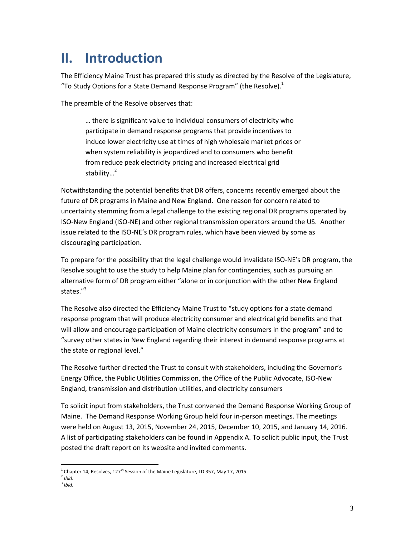### **II. Introduction**

The Efficiency Maine Trust has prepared this study as directed by the Resolve of the Legislature, "To Study Options for a State Demand Response Program" (the Resolve). $^{1}$ 

The preamble of the Resolve observes that:

… there is significant value to individual consumers of electricity who participate in demand response programs that provide incentives to induce lower electricity use at times of high wholesale market prices or when system reliability is jeopardized and to consumers who benefit from reduce peak electricity pricing and increased electrical grid stability…<sup>2</sup>

Notwithstanding the potential benefits that DR offers, concerns recently emerged about the future of DR programs in Maine and New England. One reason for concern related to uncertainty stemming from a legal challenge to the existing regional DR programs operated by ISO-New England (ISO-NE) and other regional transmission operators around the US. Another issue related to the ISO-NE's DR program rules, which have been viewed by some as discouraging participation.

To prepare for the possibility that the legal challenge would invalidate ISO-NE's DR program, the Resolve sought to use the study to help Maine plan for contingencies, such as pursuing an alternative form of DR program either "alone or in conjunction with the other New England states."<sup>3</sup>

The Resolve also directed the Efficiency Maine Trust to "study options for a state demand response program that will produce electricity consumer and electrical grid benefits and that will allow and encourage participation of Maine electricity consumers in the program" and to "survey other states in New England regarding their interest in demand response programs at the state or regional level."

The Resolve further directed the Trust to consult with stakeholders, including the Governor's Energy Office, the Public Utilities Commission, the Office of the Public Advocate, ISO-New England, transmission and distribution utilities, and electricity consumers

To solicit input from stakeholders, the Trust convened the Demand Response Working Group of Maine. The Demand Response Working Group held four in-person meetings. The meetings were held on August 13, 2015, November 24, 2015, December 10, 2015, and January 14, 2016. A list of participating stakeholders can be found in Appendix A. To solicit public input, the Trust posted the draft report on its website and invited comments.

 $\overline{a}$  $^1$  Chapter 14, Resolves, 127<sup>th</sup> Session of the Maine Legislature, LD 357, May 17, 2015.

<sup>2</sup> *Ibid.*

<sup>3</sup> *Ibid.*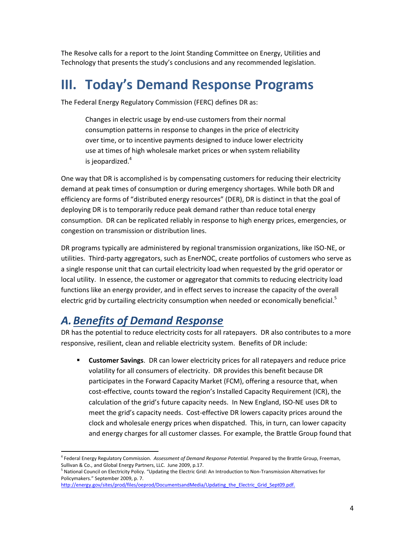The Resolve calls for a report to the Joint Standing Committee on Energy, Utilities and Technology that presents the study's conclusions and any recommended legislation.

## **III. Today's Demand Response Programs**

The Federal Energy Regulatory Commission (FERC) defines DR as:

Changes in electric usage by end-use customers from their normal consumption patterns in response to changes in the price of electricity over time, or to incentive payments designed to induce lower electricity use at times of high wholesale market prices or when system reliability is ieopardized. $4$ 

One way that DR is accomplished is by compensating customers for reducing their electricity demand at peak times of consumption or during emergency shortages. While both DR and efficiency are forms of "distributed energy resources" (DER), DR is distinct in that the goal of deploying DR is to temporarily reduce peak demand rather than reduce total energy consumption. DR can be replicated reliably in response to high energy prices, emergencies, or congestion on transmission or distribution lines.

DR programs typically are administered by regional transmission organizations, like ISO-NE, or utilities. Third-party aggregators, such as EnerNOC, create portfolios of customers who serve as a single response unit that can curtail electricity load when requested by the grid operator or local utility. In essence, the customer or aggregator that commits to reducing electricity load functions like an energy provider, and in effect serves to increase the capacity of the overall electric grid by curtailing electricity consumption when needed or economically beneficial.<sup>5</sup>

### *A.Benefits of Demand Response*

 $\overline{a}$ 

DR has the potential to reduce electricity costs for all ratepayers. DR also contributes to a more responsive, resilient, clean and reliable electricity system. Benefits of DR include:

 **Customer Savings**. DR can lower electricity prices for all ratepayers and reduce price volatility for all consumers of electricity. DR provides this benefit because DR participates in the Forward Capacity Market (FCM), offering a resource that, when cost-effective, counts toward the region's Installed Capacity Requirement (ICR), the calculation of the grid's future capacity needs. In New England, ISO-NE uses DR to meet the grid's capacity needs. Cost-effective DR lowers capacity prices around the clock and wholesale energy prices when dispatched. This, in turn, can lower capacity and energy charges for all customer classes. For example, the Brattle Group found that

<sup>4</sup> Federal Energy Regulatory Commission. *Assessment of Demand Response Potential.* Prepared by the Brattle Group, Freeman, Sullivan & Co., and Global Energy Partners, LLC. June 2009, p.17.

<sup>&</sup>lt;sup>5</sup> National Council on Electricity Policy. "Updating the Electric Grid: An Introduction to Non-Transmission Alternatives for Policymakers." September 2009, p. 7.

[http://energy.gov/sites/prod/files/oeprod/DocumentsandMedia/Updating\\_the\\_Electric\\_Grid\\_Sept09.pdf.](http://energy.gov/sites/prod/files/oeprod/DocumentsandMedia/Updating_the_Electric_Grid_Sept09.pdf)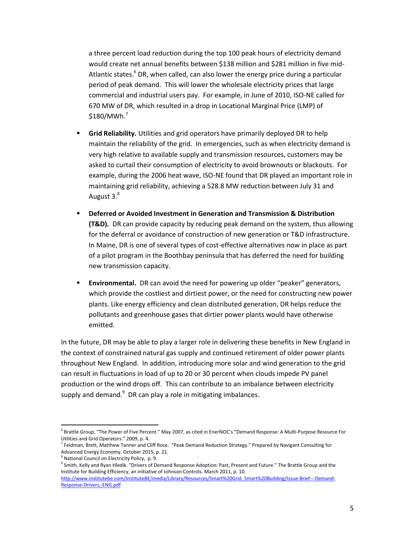a three percent load reduction during the top 100 peak hours of electricity demand would create net annual benefits between \$138 million and \$281 million in five mid-Atlantic states. $<sup>6</sup>$  DR, when called, can also lower the energy price during a particular</sup> period of peak demand. This will lower the wholesale electricity prices that large commercial and industrial users pay. For example, in June of 2010, ISO-NE called for 670 MW of DR, which resulted in a drop in Locational Marginal Price (LMP) of  $$180/MWh.<sup>7</sup>$ 

- **Grid Reliability.** Utilities and grid operators have primarily deployed DR to help maintain the reliability of the grid. In emergencies, such as when electricity demand is very high relative to available supply and transmission resources, customers may be asked to curtail their consumption of electricity to avoid brownouts or blackouts. For example, during the 2006 heat wave, ISO-NE found that DR played an important role in maintaining grid reliability, achieving a 528.8 MW reduction between July 31 and August 3.<sup>8</sup>
- **Deferred or Avoided Investment in Generation and Transmission & Distribution (T&D).** DR can provide capacity by reducing peak demand on the system, thus allowing for the deferral or avoidance of construction of new generation or T&D infrastructure. In Maine, DR is one of several types of cost-effective alternatives now in place as part of a pilot program in the Boothbay peninsula that has deferred the need for building new transmission capacity.
- **Environmental.** DR can avoid the need for powering up older "peaker" generators, which provide the costliest and dirtiest power, or the need for constructing new power plants. Like energy efficiency and clean distributed generation, DR helps reduce the pollutants and greenhouse gases that dirtier power plants would have otherwise emitted.

In the future, DR may be able to play a larger role in delivering these benefits in New England in the context of constrained natural gas supply and continued retirement of older power plants throughout New England. In addition, introducing more solar and wind generation to the grid can result in fluctuations in load of up to 20 or 30 percent when clouds impede PV panel production or the wind drops off. This can contribute to an imbalance between electricity supply and demand.<sup>9</sup> DR can play a role in mitigating imbalances.

<sup>&</sup>lt;sup>6</sup> Brattle Group, "The Power of Five Percent." May 2007, as cited in EnerNOC's "Demand Response: A Multi-Purpose Resource For Utilities and Grid Operators." 2009, p. 4.

<sup>&</sup>lt;sup>7</sup> Feldman, Brett, Matthew Tanner and Cliff Rose. "Peak Demand Reduction Strategy." Prepared by Navigant Consulting for Advanced Energy Economy. October 2015, p. 21.

<sup>&</sup>lt;sup>8</sup> National Council on Electricity Policy, p. 9.

<sup>&</sup>lt;sup>9</sup> Smith, Kelly and Ryan Hledik. "Drivers of Demand Response Adoption: Past, Present and Future." The Brattle Group and the Institute for Building Efficiency, an initiative of Johnson Controls. March 2011, p. 10.

[http://www.institutebe.com/InstituteBE/media/Library/Resources/Smart%20Grid\\_Smart%20Building/Issue-Brief---Demand-](http://www.institutebe.com/InstituteBE/media/Library/Resources/Smart%20Grid_Smart%20Building/Issue-Brief---Demand-Response-Drivers,-ENG.pdf)[Response-Drivers,-ENG.pdf](http://www.institutebe.com/InstituteBE/media/Library/Resources/Smart%20Grid_Smart%20Building/Issue-Brief---Demand-Response-Drivers,-ENG.pdf)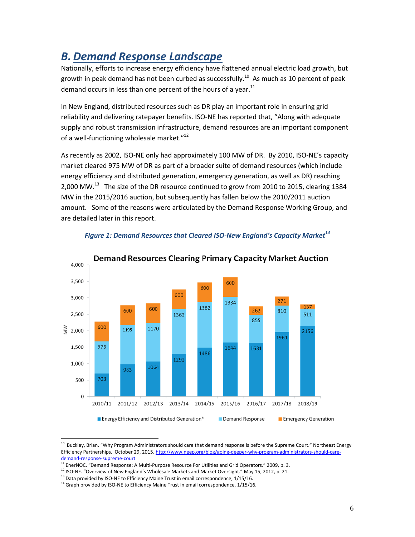### *B. Demand Response Landscape*

Nationally, efforts to increase energy efficiency have flattened annual electric load growth, but growth in peak demand has not been curbed as successfully.<sup>10</sup> As much as 10 percent of peak demand occurs in less than one percent of the hours of a year. $^{11}$ 

In New England, distributed resources such as DR play an important role in ensuring grid reliability and delivering ratepayer benefits. ISO-NE has reported that, "Along with adequate supply and robust transmission infrastructure, demand resources are an important component of a well-functioning wholesale market."<sup>12</sup>

As recently as 2002, ISO-NE only had approximately 100 MW of DR. By 2010, ISO-NE's capacity market cleared 975 MW of DR as part of a broader suite of demand resources (which include energy efficiency and distributed generation, emergency generation, as well as DR) reaching 2,000 MW.<sup>13</sup> The size of the DR resource continued to grow from 2010 to 2015, clearing 1384 MW in the 2015/2016 auction, but subsequently has fallen below the 2010/2011 auction amount. Some of the reasons were articulated by the Demand Response Working Group, and are detailed later in this report.



#### *Figure 1: Demand Resources that Cleared ISO-New England's Capacity Market<sup>14</sup>*

 $\overline{\phantom{a}}$ 

 $^{10}$  Buckley, Brian. "Why Program Administrators should care that demand response is before the Supreme Court." Northeast Energy Efficiency Partnerships. October 29, 2015[. http://www.neep.org/blog/going-deeper-why-program-administrators-should-care](http://www.neep.org/blog/going-deeper-why-program-administrators-should-care-demand-response-supreme-court)[demand-response-supreme-court](http://www.neep.org/blog/going-deeper-why-program-administrators-should-care-demand-response-supreme-court)

<sup>&</sup>lt;sup>11</sup> EnerNOC. "Demand Response: A Multi-Purpose Resource For Utilities and Grid Operators." 2009, p. 3.

<sup>&</sup>lt;sup>12</sup> ISO-NE. "Overview of New England's Wholesale Markets and Market Oversight." May 15, 2012, p. 21.

<sup>&</sup>lt;sup>13</sup> Data provided by ISO-NE to Efficiency Maine Trust in email correspondence, 1/15/16.

 $14$  Graph provided by ISO-NE to Efficiency Maine Trust in email correspondence,  $1/15/16$ .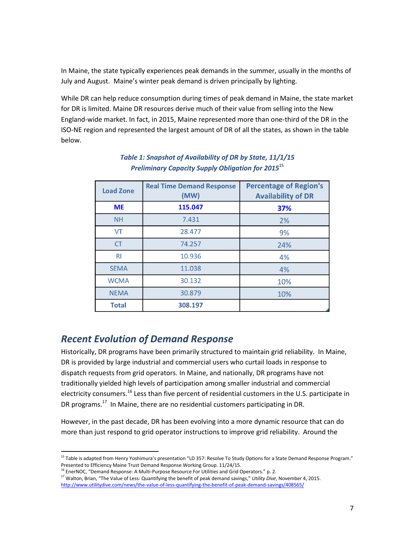In Maine, the state typically experiences peak demands in the summer, usually in the months of July and August. Maine's winter peak demand is driven principally by lighting.

While DR can help reduce consumption during times of peak demand in Maine, the state market for DR is limited. Maine DR resources derive much of their value from selling into the New England-wide market. In fact, in 2015, Maine represented more than one-third of the DR in the ISO-NE region and represented the largest amount of DR of all the states, as shown in the table below.

| <b>Load Zone</b> | <b>Real Time Demand Response</b><br>(MW) | <b>Percentage of Region's</b><br><b>Availability of DR</b> |
|------------------|------------------------------------------|------------------------------------------------------------|
| <b>ME</b>        | 115.047                                  | 37%                                                        |
| <b>NH</b>        | 7.431                                    | 2%                                                         |
| <b>VT</b>        | 28.477                                   | 9%                                                         |
| <b>CT</b>        | 74.257                                   | 24%                                                        |
| R <sub>l</sub>   | 10.936                                   | 4%                                                         |
| <b>SEMA</b>      | 11.038                                   | 4%                                                         |
| <b>WCMA</b>      | 30.132                                   | 10%                                                        |
| <b>NEMA</b>      | 30.879                                   | 10%                                                        |
| <b>Total</b>     | 308.197                                  |                                                            |

#### *Table 1: Snapshot of Availability of DR by State, 11/1/15 Preliminary Capacity Supply Obligation for 2015*<sup>15</sup>

### *Recent Evolution of Demand Response*

Historically, DR programs have been primarily structured to maintain grid reliability. In Maine, DR is provided by large industrial and commercial users who curtail loads in response to dispatch requests from grid operators. In Maine, and nationally, DR programs have not traditionally yielded high levels of participation among smaller industrial and commercial electricity consumers.<sup>16</sup> Less than five percent of residential customers in the U.S. participate in DR programs.<sup>17</sup> In Maine, there are no residential customers participating in DR.

However, in the past decade, DR has been evolving into a more dynamic resource that can do more than just respond to grid operator instructions to improve grid reliability. Around the

 $\overline{a}$ <sup>15</sup> Table is adapted from Henry Yoshimura's presentation "LD 357: Resolve To Study Options for a State Demand Response Program." Presented to Efficiency Maine Trust Demand Response Working Group. 11/24/15.

 $16$  EnerNOC. "Demand Response: A Multi-Purpose Resource For Utilities and Grid Operators." p. 2.

<sup>17</sup> Walton, Brian, "The Value of Less: Quantifying the benefit of peak demand savings," *Utility Dive*, November 4, 2015. <http://www.utilitydive.com/news/the-value-of-less-quantifying-the-benefit-of-peak-demand-savings/408565/>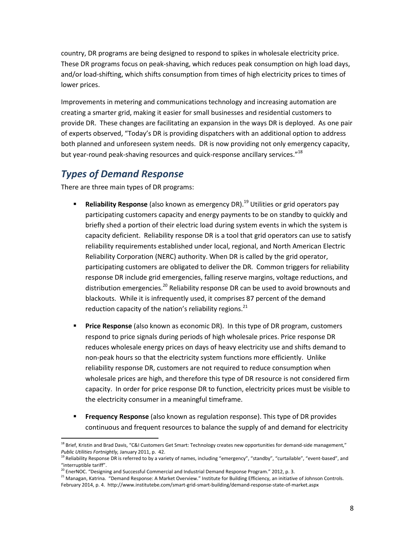country, DR programs are being designed to respond to spikes in wholesale electricity price. These DR programs focus on peak-shaving, which reduces peak consumption on high load days, and/or load-shifting, which shifts consumption from times of high electricity prices to times of lower prices.

Improvements in metering and communications technology and increasing automation are creating a smarter grid, making it easier for small businesses and residential customers to provide DR. These changes are facilitating an expansion in the ways DR is deployed. As one pair of experts observed, "Today's DR is providing dispatchers with an additional option to address both planned and unforeseen system needs. DR is now providing not only emergency capacity, but year-round peak-shaving resources and quick-response ancillary services."<sup>18</sup>

### *Types of Demand Response*

There are three main types of DR programs:

- **Reliability Response** (also known as emergency DR).<sup>19</sup> Utilities or grid operators pay participating customers capacity and energy payments to be on standby to quickly and briefly shed a portion of their electric load during system events in which the system is capacity deficient. Reliability response DR is a tool that grid operators can use to satisfy reliability requirements established under local, regional, and North American Electric Reliability Corporation (NERC) authority. When DR is called by the grid operator, participating customers are obligated to deliver the DR. Common triggers for reliability response DR include grid emergencies, falling reserve margins, voltage reductions, and distribution emergencies.<sup>20</sup> Reliability response DR can be used to avoid brownouts and blackouts. While it is infrequently used, it comprises 87 percent of the demand reduction capacity of the nation's reliability regions.<sup>21</sup>
- **Price Response** (also known as economic DR). In this type of DR program, customers respond to price signals during periods of high wholesale prices. Price response DR reduces wholesale energy prices on days of heavy electricity use and shifts demand to non-peak hours so that the electricity system functions more efficiently. Unlike reliability response DR, customers are not required to reduce consumption when wholesale prices are high, and therefore this type of DR resource is not considered firm capacity. In order for price response DR to function, electricity prices must be visible to the electricity consumer in a meaningful timeframe.
- **Frequency Response** (also known as regulation response). This type of DR provides continuous and frequent resources to balance the supply of and demand for electricity

 $\overline{\phantom{a}}$ <sup>18</sup> Brief, Kristin and Brad Davis, "C&I Customers Get Smart: Technology creates new opportunities for demand-side management," *Public Utilities Fortnightly,* January 2011, p. 42.

<sup>&</sup>lt;sup>19</sup> Reliability Response DR is referred to by a variety of names, including "emergency", "standby", "curtailable", "event-based", and "interruptible tariff".

<sup>&</sup>lt;sup>20</sup> EnerNOC. "Designing and Successful Commercial and Industrial Demand Response Program." 2012, p. 3.

<sup>&</sup>lt;sup>21</sup> Managan, Katrina. "Demand Response: A Market Overview." Institute for Building Efficiency, an initiative of Johnson Controls. February 2014, p. 4. http://www.institutebe.com/smart-grid-smart-building/demand-response-state-of-market.aspx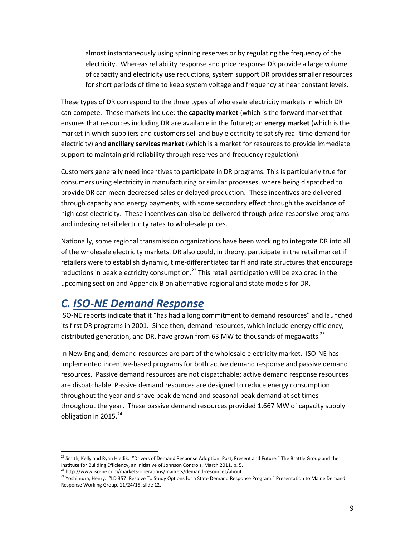almost instantaneously using spinning reserves or by regulating the frequency of the electricity. Whereas reliability response and price response DR provide a large volume of capacity and electricity use reductions, system support DR provides smaller resources for short periods of time to keep system voltage and frequency at near constant levels.

These types of DR correspond to the three types of wholesale electricity markets in which DR can compete. These markets include: the **capacity market** (which is the forward market that ensures that resources including DR are available in the future); an **energy market** (which is the market in which suppliers and customers sell and buy electricity to satisfy real-time demand for electricity) and **ancillary services market** (which is a market for resources to provide immediate support to maintain grid reliability through reserves and frequency regulation).

Customers generally need incentives to participate in DR programs. This is particularly true for consumers using electricity in manufacturing or similar processes, where being dispatched to provide DR can mean decreased sales or delayed production. These incentives are delivered through capacity and energy payments, with some secondary effect through the avoidance of high cost electricity. These incentives can also be delivered through price-responsive programs and indexing retail electricity rates to wholesale prices.

Nationally, some regional transmission organizations have been working to integrate DR into all of the wholesale electricity markets. DR also could, in theory, participate in the retail market if retailers were to establish dynamic, time-differentiated tariff and rate structures that encourage reductions in peak electricity consumption.<sup>22</sup> This retail participation will be explored in the upcoming section and Appendix B on alternative regional and state models for DR.

### *C. ISO-NE Demand Response*

ISO-NE reports indicate that it "has had a long commitment to demand resources" and launched its first DR programs in 2001. Since then, demand resources, which include energy efficiency, distributed generation, and DR, have grown from 63 MW to thousands of megawatts.<sup>23</sup>

In New England, demand resources are part of the wholesale electricity market. ISO-NE has implemented incentive-based programs for both active demand response and passive demand resources. Passive demand resources are not dispatchable; active demand response resources are dispatchable. Passive demand resources are designed to reduce energy consumption throughout the year and shave peak demand and seasonal peak demand at set times throughout the year. These passive demand resources provided 1,667 MW of capacity supply obligation in 2015. $^{24}$ 

<sup>&</sup>lt;sup>22</sup> Smith, Kelly and Ryan Hledik. "Drivers of Demand Response Adoption: Past, Present and Future." The Brattle Group and the Institute for Building Efficiency, an initiative of Johnson Controls, March 2011, p. 5.

<sup>&</sup>lt;sup>23</sup> http://www.iso-ne.com/markets-operations/markets/demand-resources/about

<sup>&</sup>lt;sup>24</sup> Yoshimura, Henry. "LD 357: Resolve To Study Options for a State Demand Response Program." Presentation to Maine Demand Response Working Group. 11/24/15, slide 12.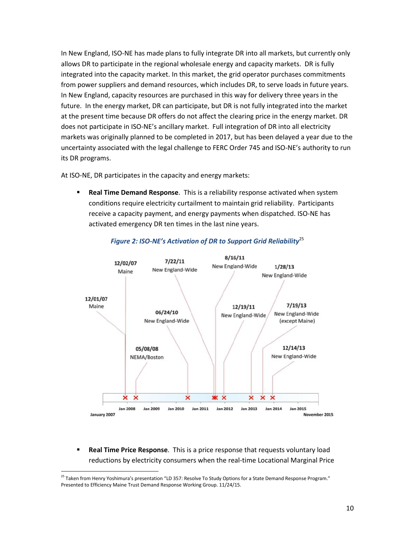In New England, ISO-NE has made plans to fully integrate DR into all markets, but currently only allows DR to participate in the regional wholesale energy and capacity markets. DR is fully integrated into the capacity market. In this market, the grid operator purchases commitments from power suppliers and demand resources, which includes DR, to serve loads in future years. In New England, capacity resources are purchased in this way for delivery three years in the future. In the energy market, DR can participate, but DR is not fully integrated into the market at the present time because DR offers do not affect the clearing price in the energy market. DR does not participate in ISO-NE's ancillary market. Full integration of DR into all electricity markets was originally planned to be completed in 2017, but has been delayed a year due to the uncertainty associated with the legal challenge to FERC Order 745 and ISO-NE's authority to run its DR programs.

At ISO-NE, DR participates in the capacity and energy markets:

 **Real Time Demand Response**. This is a reliability response activated when system conditions require electricity curtailment to maintain grid reliability. Participants receive a capacity payment, and energy payments when dispatched. ISO-NE has activated emergency DR ten times in the last nine years.



#### *Figure 2: ISO-NE's Activation of DR to Support Grid Reliability*<sup>25</sup>

 **Real Time Price Response**. This is a price response that requests voluntary load reductions by electricity consumers when the real-time Locational Marginal Price

<sup>&</sup>lt;sup>25</sup> Taken from Henry Yoshimura's presentation "LD 357: Resolve To Study Options for a State Demand Response Program." Presented to Efficiency Maine Trust Demand Response Working Group. 11/24/15.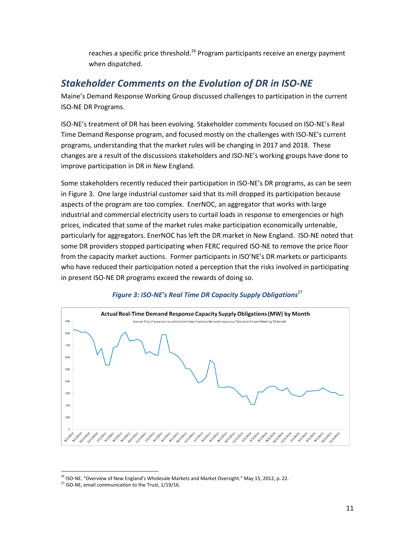reaches a specific price threshold.<sup>26</sup> Program participants receive an energy payment when dispatched.

### *Stakeholder Comments on the Evolution of DR in ISO-NE*

Maine's Demand Response Working Group discussed challenges to participation in the current ISO-NE DR Programs.

ISO-NE's treatment of DR has been evolving. Stakeholder comments focused on ISO-NE's Real Time Demand Response program, and focused mostly on the challenges with ISO-NE's current programs, understanding that the market rules will be changing in 2017 and 2018. These changes are a result of the discussions stakeholders and ISO-NE's working groups have done to improve participation in DR in New England.

Some stakeholders recently reduced their participation in ISO-NE's DR programs, as can be seen in Figure 3. One large industrial customer said that its mill dropped its participation because aspects of the program are too complex. EnerNOC, an aggregator that works with large industrial and commercial electricity users to curtail loads in response to emergencies or high prices, indicated that some of the market rules make participation economically untenable, particularly for aggregators. EnerNOC has left the DR market in New England. ISO-NE noted that some DR providers stopped participating when FERC required ISO-NE to remove the price floor from the capacity market auctions. Former participants in ISO'NE's DR markets or participants who have reduced their participation noted a perception that the risks involved in participating in present ISO-NE DR programs exceed the rewards of doing so.



#### *Figure 3: ISO-NE's Real Time DR Capacity Supply Obligations*<sup>27</sup>

<sup>&</sup>lt;sup>26</sup> ISO-NE. "Overview of New England's Wholesale Markets and Market Oversight." May 15, 2012, p. 22.

<sup>&</sup>lt;sup>27</sup> ISO-NE, email communication to the Trust,  $1/19/16$ .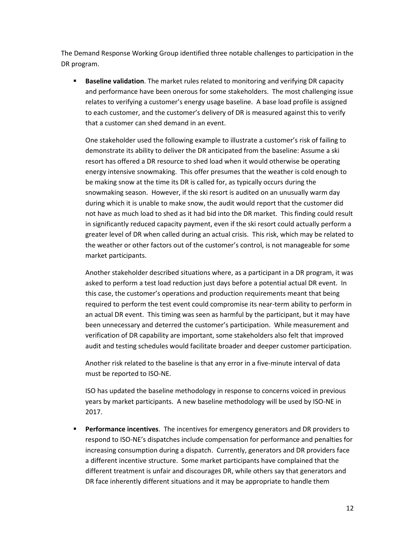The Demand Response Working Group identified three notable challenges to participation in the DR program.

**Baseline validation**. The market rules related to monitoring and verifying DR capacity and performance have been onerous for some stakeholders. The most challenging issue relates to verifying a customer's energy usage baseline. A base load profile is assigned to each customer, and the customer's delivery of DR is measured against this to verify that a customer can shed demand in an event.

One stakeholder used the following example to illustrate a customer's risk of failing to demonstrate its ability to deliver the DR anticipated from the baseline: Assume a ski resort has offered a DR resource to shed load when it would otherwise be operating energy intensive snowmaking. This offer presumes that the weather is cold enough to be making snow at the time its DR is called for, as typically occurs during the snowmaking season. However, if the ski resort is audited on an unusually warm day during which it is unable to make snow, the audit would report that the customer did not have as much load to shed as it had bid into the DR market. This finding could result in significantly reduced capacity payment, even if the ski resort could actually perform a greater level of DR when called during an actual crisis. This risk, which may be related to the weather or other factors out of the customer's control, is not manageable for some market participants.

Another stakeholder described situations where, as a participant in a DR program, it was asked to perform a test load reduction just days before a potential actual DR event. In this case, the customer's operations and production requirements meant that being required to perform the test event could compromise its near-term ability to perform in an actual DR event. This timing was seen as harmful by the participant, but it may have been unnecessary and deterred the customer's participation. While measurement and verification of DR capability are important, some stakeholders also felt that improved audit and testing schedules would facilitate broader and deeper customer participation.

Another risk related to the baseline is that any error in a five-minute interval of data must be reported to ISO-NE.

ISO has updated the baseline methodology in response to concerns voiced in previous years by market participants. A new baseline methodology will be used by ISO-NE in 2017.

 **Performance incentives**. The incentives for emergency generators and DR providers to respond to ISO-NE's dispatches include compensation for performance and penalties for increasing consumption during a dispatch. Currently, generators and DR providers face a different incentive structure. Some market participants have complained that the different treatment is unfair and discourages DR, while others say that generators and DR face inherently different situations and it may be appropriate to handle them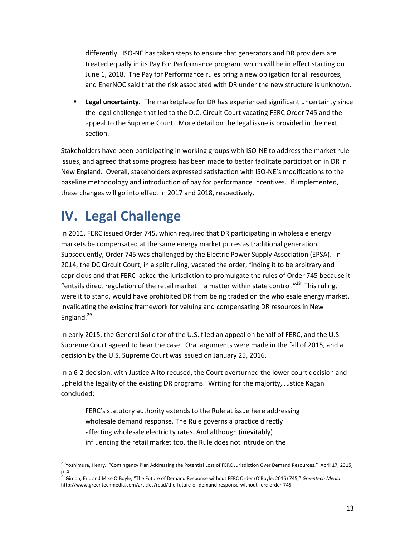differently. ISO-NE has taken steps to ensure that generators and DR providers are treated equally in its Pay For Performance program, which will be in effect starting on June 1, 2018. The Pay for Performance rules bring a new obligation for all resources, and EnerNOC said that the risk associated with DR under the new structure is unknown.

 **Legal uncertainty.** The marketplace for DR has experienced significant uncertainty since the legal challenge that led to the D.C. Circuit Court vacating FERC Order 745 and the appeal to the Supreme Court. More detail on the legal issue is provided in the next section.

Stakeholders have been participating in working groups with ISO-NE to address the market rule issues, and agreed that some progress has been made to better facilitate participation in DR in New England. Overall, stakeholders expressed satisfaction with ISO-NE's modifications to the baseline methodology and introduction of pay for performance incentives. If implemented, these changes will go into effect in 2017 and 2018, respectively.

## **IV. Legal Challenge**

In 2011, FERC issued Order 745, which required that DR participating in wholesale energy markets be compensated at the same energy market prices as traditional generation. Subsequently, Order 745 was challenged by the Electric Power Supply Association (EPSA). In 2014, the DC Circuit Court, in a split ruling, vacated the order, finding it to be arbitrary and capricious and that FERC lacked the jurisdiction to promulgate the rules of Order 745 because it "entails direct regulation of the retail market  $-$  a matter within state control."<sup>28</sup> This ruling, were it to stand, would have prohibited DR from being traded on the wholesale energy market, invalidating the existing framework for valuing and compensating DR resources in New England.<sup>29</sup>

In early 2015, the General Solicitor of the U.S. filed an appeal on behalf of FERC, and the U.S. Supreme Court agreed to hear the case. Oral arguments were made in the fall of 2015, and a decision by the U.S. Supreme Court was issued on January 25, 2016.

In a 6-2 decision, with Justice Alito recused, the Court overturned the lower court decision and upheld the legality of the existing DR programs. Writing for the majority, Justice Kagan concluded:

FERC's statutory authority extends to the Rule at issue here addressing wholesale demand response. The Rule governs a practice directly affecting wholesale electricity rates. And although (inevitably) influencing the retail market too, the Rule does not intrude on the

l <sup>28</sup> Yoshimura, Henry. "Contingency Plan Addressing the Potential Loss of FERC Jurisdiction Over Demand Resources." April 17, 2015, p. 4.

<sup>29</sup> Gimon, Eric and Mike O'Boyle, "The Future of Demand Response without FERC Order (O'Boyle, 2015) 745," *Greentech Media*. http://www.greentechmedia.com/articles/read/the-future-of-demand-response-without-ferc-order-745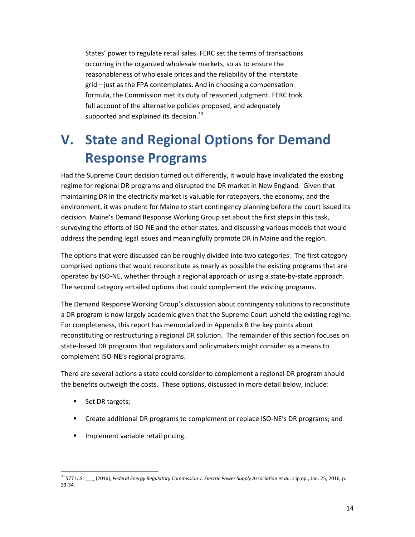States' power to regulate retail sales. FERC set the terms of transactions occurring in the organized wholesale markets, so as to ensure the reasonableness of wholesale prices and the reliability of the interstate grid—just as the FPA contemplates. And in choosing a compensation formula, the Commission met its duty of reasoned judgment. FERC took full account of the alternative policies proposed, and adequately supported and explained its decision.<sup>30</sup>

## **V. State and Regional Options for Demand Response Programs**

Had the Supreme Court decision turned out differently, it would have invalidated the existing regime for regional DR programs and disrupted the DR market in New England. Given that maintaining DR in the electricity market is valuable for ratepayers, the economy, and the environment, it was prudent for Maine to start contingency planning before the court issued its decision. Maine's Demand Response Working Group set about the first steps in this task, surveying the efforts of ISO-NE and the other states, and discussing various models that would address the pending legal issues and meaningfully promote DR in Maine and the region.

The options that were discussed can be roughly divided into two categories. The first category comprised options that would reconstitute as nearly as possible the existing programs that are operated by ISO-NE, whether through a regional approach or using a state-by-state approach. The second category entailed options that could complement the existing programs.

The Demand Response Working Group's discussion about contingency solutions to reconstitute a DR program is now largely academic given that the Supreme Court upheld the existing regime. For completeness, this report has memorialized in Appendix B the key points about reconstituting or restructuring a regional DR solution. The remainder of this section focuses on state-based DR programs that regulators and policymakers might consider as a means to complement ISO-NE's regional programs.

There are several actions a state could consider to complement a regional DR program should the benefits outweigh the costs. These options, discussed in more detail below, include:

- Set DR targets;
- Create additional DR programs to complement or replace ISO-NE's DR programs; and
- **Implement variable retail pricing.**

 $\overline{a}$ <sup>30</sup> 577 U.S. \_\_\_, (2016), *Federal Energy Regulatory Commission v. Electric Power Supply Association et al.*, slip op., Jan. 25, 2016, p. 33-34.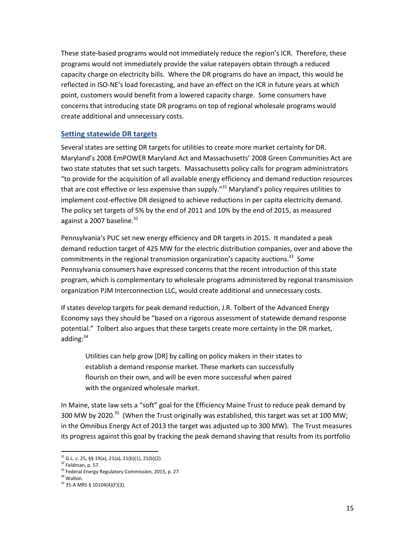These state-based programs would not immediately reduce the region's ICR. Therefore, these programs would not immediately provide the value ratepayers obtain through a reduced capacity charge on electricity bills. Where the DR programs do have an impact, this would be reflected in ISO-NE's load forecasting, and have an effect on the ICR in future years at which point, customers would benefit from a lowered capacity charge. Some consumers have concerns that introducing state DR programs on top of regional wholesale programs would create additional and unnecessary costs.

#### **Setting statewide DR targets**

Several states are setting DR targets for utilities to create more market certainty for DR. Maryland's 2008 EmPOWER Maryland Act and Massachusetts' 2008 Green Communities Act are two state statutes that set such targets. Massachusetts policy calls for program administrators "to provide for the acquisition of all available energy efficiency and demand reduction resources that are cost effective or less expensive than supply."<sup>31</sup> Maryland's policy requires utilities to implement cost-effective DR designed to achieve reductions in per capita electricity demand. The policy set targets of 5% by the end of 2011 and 10% by the end of 2015, as measured against a 2007 baseline. $32$ 

Pennsylvania's PUC set new energy efficiency and DR targets in 2015. It mandated a peak demand reduction target of 425 MW for the electric distribution companies, over and above the commitments in the regional transmission organization's capacity auctions.<sup>33</sup> Some Pennsylvania consumers have expressed concerns that the recent introduction of this state program, which is complementary to wholesale programs administered by regional transmission organization PJM Interconnection LLC, would create additional and unnecessary costs.

If states develop targets for peak demand reduction, J.R. Tolbert of the Advanced Energy Economy says they should be "based on a rigorous assessment of statewide demand response potential." Tolbert also argues that these targets create more certainty in the DR market, adding: 34

Utilities can help grow [DR] by calling on policy makers in their states to establish a demand response market. These markets can successfully flourish on their own, and will be even more successful when paired with the organized wholesale market.

In Maine, state law sets a "soft" goal for the Efficiency Maine Trust to reduce peak demand by 300 MW by 2020.<sup>35</sup> (When the Trust originally was established, this target was set at 100 MW; in the Omnibus Energy Act of 2013 the target was adjusted up to 300 MW). The Trust measures its progress against this goal by tracking the peak demand shaving that results from its portfolio

 $31$  G.L. c. 25, §§ 19(a), 21(a), 21(b)(1), 21(b)(2).

<sup>32</sup> Feldman, p. 57.

<sup>&</sup>lt;sup>33</sup> Federal Energy Regulatory Commission, 2015, p. 27.

<sup>&</sup>lt;sup>34</sup> Walton.

<sup>35</sup> 35-A MRS § 10104(4)(F)(3).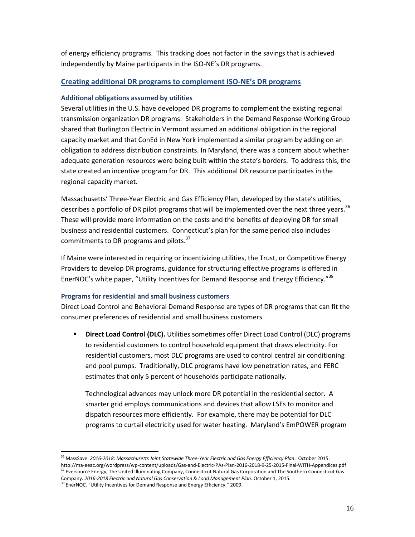of energy efficiency programs. This tracking does not factor in the savings that is achieved independently by Maine participants in the ISO-NE's DR programs.

#### **Creating additional DR programs to complement ISO-NE's DR programs**

#### **Additional obligations assumed by utilities**

Several utilities in the U.S. have developed DR programs to complement the existing regional transmission organization DR programs. Stakeholders in the Demand Response Working Group shared that Burlington Electric in Vermont assumed an additional obligation in the regional capacity market and that ConEd in New York implemented a similar program by adding on an obligation to address distribution constraints. In Maryland, there was a concern about whether adequate generation resources were being built within the state's borders. To address this, the state created an incentive program for DR. This additional DR resource participates in the regional capacity market.

Massachusetts' Three-Year Electric and Gas Efficiency Plan, developed by the state's utilities, describes a portfolio of DR pilot programs that will be implemented over the next three years.<sup>36</sup> These will provide more information on the costs and the benefits of deploying DR for small business and residential customers. Connecticut's plan for the same period also includes commitments to DR programs and pilots. $37$ 

If Maine were interested in requiring or incentivizing utilities, the Trust, or Competitive Energy Providers to develop DR programs, guidance for structuring effective programs is offered in EnerNOC's white paper, "Utility Incentives for Demand Response and Energy Efficiency."<sup>38</sup>

#### **Programs for residential and small business customers**

Direct Load Control and Behavioral Demand Response are types of DR programs that can fit the consumer preferences of residential and small business customers.

**Direct Load Control (DLC).** Utilities sometimes offer Direct Load Control (DLC) programs to residential customers to control household equipment that draws electricity. For residential customers, most DLC programs are used to control central air conditioning and pool pumps. Traditionally, DLC programs have low penetration rates, and FERC estimates that only 5 percent of households participate nationally.

Technological advances may unlock more DR potential in the residential sector. A smarter grid employs communications and devices that allow LSEs to monitor and dispatch resources more efficiently. For example, there may be potential for DLC programs to curtail electricity used for water heating. Maryland's EmPOWER program

<sup>36</sup> MassSave. *2016-2018*: *Massachusetts Joint Statewide Three-Year Electric and Gas Energy Efficiency Plan*. October 2015. http://ma-eeac.org/wordpress/wp-content/uploads/Gas-and-Electric-PAs-Plan-2016-2018-9-25-2015-Final-WITH-Appendices.pdf <sup>37</sup> Eversource Energy, The United Illuminating Company, Connecticut Natural Gas Corporation and The Southern Connecticut Gas

Company. *2016-2018 Electric and Natural Gas Conservation & Load Management Plan*. October 1, 2015.

<sup>&</sup>lt;sup>38</sup> EnerNOC. "Utility Incentives for Demand Response and Energy Efficiency." 2009.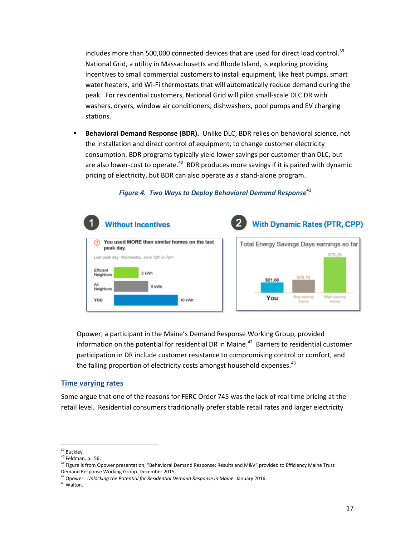includes more than 500,000 connected devices that are used for direct load control.<sup>39</sup> National Grid, a utility in Massachusetts and Rhode Island, is exploring providing incentives to small commercial customers to install equipment, like heat pumps, smart water heaters, and Wi-Fi thermostats that will automatically reduce demand during the peak. For residential customers, National Grid will pilot small-scale DLC DR with washers, dryers, window air conditioners, dishwashers, pool pumps and EV charging stations.

 **Behavioral Demand Response (BDR).** Unlike DLC, BDR relies on behavioral science, not the installation and direct control of equipment, to change customer electricity consumption. BDR programs typically yield lower savings per customer than DLC, but are also lower-cost to operate.<sup>40</sup> BDR produces more savings if it is paired with dynamic pricing of electricity, but BDR can also operate as a stand-alone program.



#### *Figure 4. Two Ways to Deploy Behavioral Demand Response***<sup>41</sup>**

Opower, a participant in the Maine's Demand Response Working Group, provided information on the potential for residential DR in Maine.<sup>42</sup> Barriers to residential customer participation in DR include customer resistance to compromising control or comfort, and the falling proportion of electricity costs amongst household expenses. $^{43}$ 

#### **Time varying rates**

Some argue that one of the reasons for FERC Order 745 was the lack of real time pricing at the retail level. Residential consumers traditionally prefer stable retail rates and larger electricity

 $\overline{a}$ <sup>39</sup> Buckley.

<sup>40</sup> Feldman, p. 56.

<sup>41</sup> Figure is from Opower presentation, "Behavioral Demand Response: Results and M&V" provided to Efficiency Maine Trust Demand Response Working Group. December 2015.

<sup>&</sup>lt;sup>42</sup> Opower. *Unlocking the Potential for Residential Demand Response in Maine. January 2016.* 

<sup>43</sup> Walton.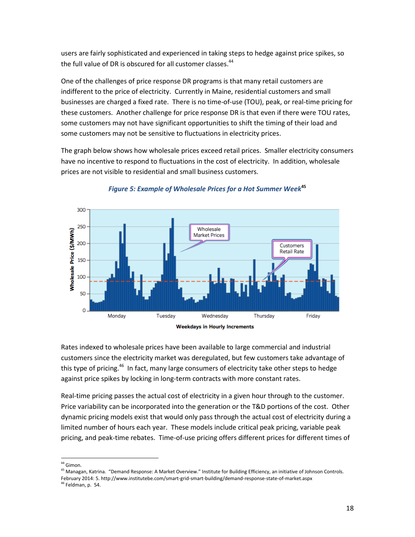users are fairly sophisticated and experienced in taking steps to hedge against price spikes, so the full value of DR is obscured for all customer classes.<sup>44</sup>

One of the challenges of price response DR programs is that many retail customers are indifferent to the price of electricity. Currently in Maine, residential customers and small businesses are charged a fixed rate. There is no time-of-use (TOU), peak, or real-time pricing for these customers. Another challenge for price response DR is that even if there were TOU rates, some customers may not have significant opportunities to shift the timing of their load and some customers may not be sensitive to fluctuations in electricity prices.

The graph below shows how wholesale prices exceed retail prices. Smaller electricity consumers have no incentive to respond to fluctuations in the cost of electricity. In addition, wholesale prices are not visible to residential and small business customers.



#### *Figure 5: Example of Wholesale Prices for a Hot Summer Week***<sup>45</sup>**

Rates indexed to wholesale prices have been available to large commercial and industrial customers since the electricity market was deregulated, but few customers take advantage of this type of pricing.<sup>46</sup> In fact, many large consumers of electricity take other steps to hedge against price spikes by locking in long-term contracts with more constant rates.

Real-time pricing passes the actual cost of electricity in a given hour through to the customer. Price variability can be incorporated into the generation or the T&D portions of the cost. Other dynamic pricing models exist that would only pass through the actual cost of electricity during a limited number of hours each year. These models include critical peak pricing, variable peak pricing, and peak-time rebates. Time-of-use pricing offers different prices for different times of

l <sup>44</sup> Gimon.

<sup>&</sup>lt;sup>45</sup> Managan, Katrina. "Demand Response: A Market Overview." Institute for Building Efficiency, an initiative of Johnson Controls. February 2014: 5. http://www.institutebe.com/smart-grid-smart-building/demand-response-state-of-market.aspx

 $46$  Feldman, p. 54.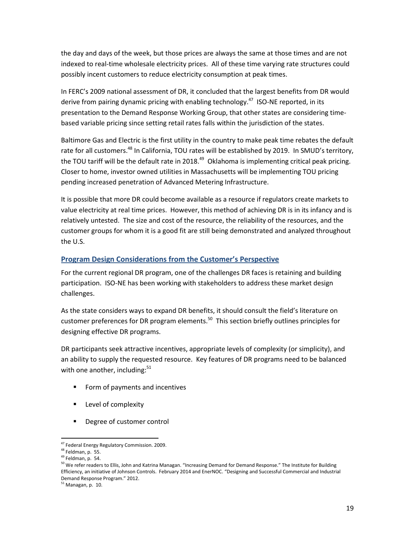the day and days of the week, but those prices are always the same at those times and are not indexed to real-time wholesale electricity prices. All of these time varying rate structures could possibly incent customers to reduce electricity consumption at peak times.

In FERC's 2009 national assessment of DR, it concluded that the largest benefits from DR would derive from pairing dynamic pricing with enabling technology.<sup>47</sup> ISO-NE reported, in its presentation to the Demand Response Working Group, that other states are considering timebased variable pricing since setting retail rates falls within the jurisdiction of the states.

Baltimore Gas and Electric is the first utility in the country to make peak time rebates the default rate for all customers.<sup>48</sup> In California, TOU rates will be established by 2019. In SMUD's territory, the TOU tariff will be the default rate in 2018. $^{49}$  Oklahoma is implementing critical peak pricing. Closer to home, investor owned utilities in Massachusetts will be implementing TOU pricing pending increased penetration of Advanced Metering Infrastructure.

It is possible that more DR could become available as a resource if regulators create markets to value electricity at real time prices. However, this method of achieving DR is in its infancy and is relatively untested. The size and cost of the resource, the reliability of the resources, and the customer groups for whom it is a good fit are still being demonstrated and analyzed throughout the U.S.

#### **Program Design Considerations from the Customer's Perspective**

For the current regional DR program, one of the challenges DR faces is retaining and building participation. ISO-NE has been working with stakeholders to address these market design challenges.

As the state considers ways to expand DR benefits, it should consult the field's literature on customer preferences for DR program elements.<sup>50</sup> This section briefly outlines principles for designing effective DR programs.

DR participants seek attractive incentives, appropriate levels of complexity (or simplicity), and an ability to supply the requested resource. Key features of DR programs need to be balanced with one another, including: $51$ 

- **Form of payments and incentives**
- **Level of complexity**
- **P** Degree of customer control

 $\overline{\phantom{a}}$ 

<sup>&</sup>lt;sup>47</sup> Federal Energy Regulatory Commission. 2009.

<sup>48</sup> Feldman, p. 55.

 $49$  Feldman, p. 54.

<sup>&</sup>lt;sup>50</sup> We refer readers to Ellis, John and Katrina Managan. "Increasing Demand for Demand Response." The Institute for Building Efficiency, an initiative of Johnson Controls. February 2014 and EnerNOC. "Designing and Successful Commercial and Industrial Demand Response Program." 2012.

 $51$  Managan, p. 10.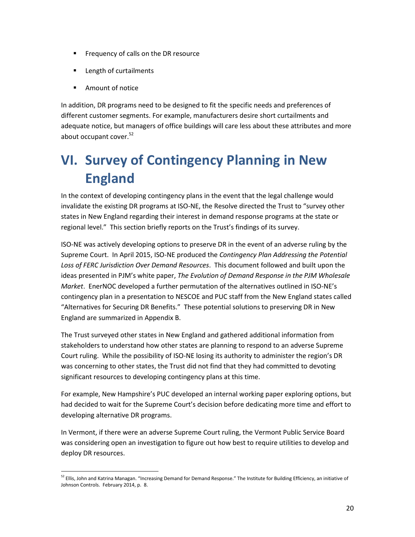- **Filter** Frequency of calls on the DR resource
- **Length of curtailments**
- **Amount of notice**

In addition, DR programs need to be designed to fit the specific needs and preferences of different customer segments. For example, manufacturers desire short curtailments and adequate notice, but managers of office buildings will care less about these attributes and more about occupant cover.<sup>52</sup>

## **VI. Survey of Contingency Planning in New England**

In the context of developing contingency plans in the event that the legal challenge would invalidate the existing DR programs at ISO-NE, the Resolve directed the Trust to "survey other states in New England regarding their interest in demand response programs at the state or regional level." This section briefly reports on the Trust's findings of its survey.

ISO-NE was actively developing options to preserve DR in the event of an adverse ruling by the Supreme Court. In April 2015, ISO-NE produced the *Contingency Plan Addressing the Potential Loss of FERC Jurisdiction Over Demand Resources*. This document followed and built upon the ideas presented in PJM's white paper, *The Evolution of Demand Response in the PJM Wholesale Market*. EnerNOC developed a further permutation of the alternatives outlined in ISO-NE's contingency plan in a presentation to NESCOE and PUC staff from the New England states called "Alternatives for Securing DR Benefits." These potential solutions to preserving DR in New England are summarized in Appendix B.

The Trust surveyed other states in New England and gathered additional information from stakeholders to understand how other states are planning to respond to an adverse Supreme Court ruling. While the possibility of ISO-NE losing its authority to administer the region's DR was concerning to other states, the Trust did not find that they had committed to devoting significant resources to developing contingency plans at this time.

For example, New Hampshire's PUC developed an internal working paper exploring options, but had decided to wait for the Supreme Court's decision before dedicating more time and effort to developing alternative DR programs.

In Vermont, if there were an adverse Supreme Court ruling, the Vermont Public Service Board was considering open an investigation to figure out how best to require utilities to develop and deploy DR resources.

 $\overline{a}$ <sup>52</sup> Ellis, John and Katrina Managan. "Increasing Demand for Demand Response." The Institute for Building Efficiency, an initiative of Johnson Controls. February 2014, p. 8.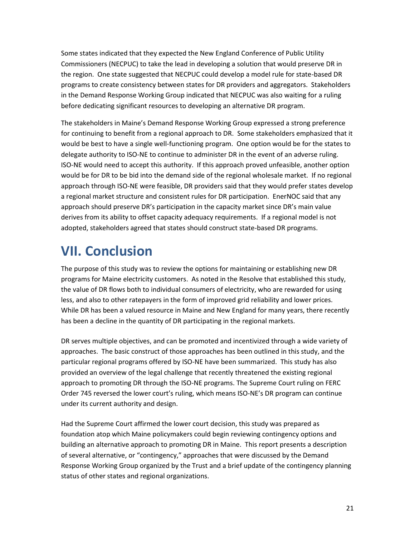Some states indicated that they expected the New England Conference of Public Utility Commissioners (NECPUC) to take the lead in developing a solution that would preserve DR in the region. One state suggested that NECPUC could develop a model rule for state-based DR programs to create consistency between states for DR providers and aggregators. Stakeholders in the Demand Response Working Group indicated that NECPUC was also waiting for a ruling before dedicating significant resources to developing an alternative DR program.

The stakeholders in Maine's Demand Response Working Group expressed a strong preference for continuing to benefit from a regional approach to DR. Some stakeholders emphasized that it would be best to have a single well-functioning program. One option would be for the states to delegate authority to ISO-NE to continue to administer DR in the event of an adverse ruling. ISO-NE would need to accept this authority. If this approach proved unfeasible, another option would be for DR to be bid into the demand side of the regional wholesale market. If no regional approach through ISO-NE were feasible, DR providers said that they would prefer states develop a regional market structure and consistent rules for DR participation. EnerNOC said that any approach should preserve DR's participation in the capacity market since DR's main value derives from its ability to offset capacity adequacy requirements. If a regional model is not adopted, stakeholders agreed that states should construct state-based DR programs.

## **VII. Conclusion**

The purpose of this study was to review the options for maintaining or establishing new DR programs for Maine electricity customers. As noted in the Resolve that established this study, the value of DR flows both to individual consumers of electricity, who are rewarded for using less, and also to other ratepayers in the form of improved grid reliability and lower prices. While DR has been a valued resource in Maine and New England for many years, there recently has been a decline in the quantity of DR participating in the regional markets.

DR serves multiple objectives, and can be promoted and incentivized through a wide variety of approaches. The basic construct of those approaches has been outlined in this study, and the particular regional programs offered by ISO-NE have been summarized. This study has also provided an overview of the legal challenge that recently threatened the existing regional approach to promoting DR through the ISO-NE programs. The Supreme Court ruling on FERC Order 745 reversed the lower court's ruling, which means ISO-NE's DR program can continue under its current authority and design.

Had the Supreme Court affirmed the lower court decision, this study was prepared as foundation atop which Maine policymakers could begin reviewing contingency options and building an alternative approach to promoting DR in Maine. This report presents a description of several alternative, or "contingency," approaches that were discussed by the Demand Response Working Group organized by the Trust and a brief update of the contingency planning status of other states and regional organizations.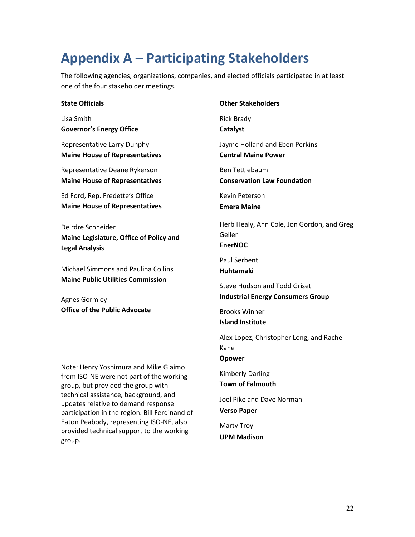## **Appendix A – Participating Stakeholders**

The following agencies, organizations, companies, and elected officials participated in at least one of the four stakeholder meetings.

#### **State Officials**

Lisa Smith **Governor's Energy Office**

Representative Larry Dunphy **Maine House of Representatives**

Representative Deane Rykerson **Maine House of Representatives**

Ed Ford, Rep. Fredette's Office **Maine House of Representatives**

Deirdre Schneider **Maine Legislature, Office of Policy and Legal Analysis**

Michael Simmons and Paulina Collins **Maine Public Utilities Commission**

Agnes Gormley **Office of the Public Advocate**

Note: Henry Yoshimura and Mike Giaimo from ISO-NE were not part of the working group, but provided the group with technical assistance, background, and updates relative to demand response participation in the region. Bill Ferdinand of Eaton Peabody, representing ISO-NE, also provided technical support to the working group.

#### **Other Stakeholders**

Rick Brady **Catalyst**

Jayme Holland and Eben Perkins **Central Maine Power**

Ben Tettlebaum **Conservation Law Foundation**

Kevin Peterson

**Emera Maine**

Herb Healy, Ann Cole, Jon Gordon, and Greg Geller **EnerNOC**

Paul Serbent **Huhtamaki**

Steve Hudson and Todd Griset **Industrial Energy Consumers Group**

Brooks Winner **Island Institute**

Alex Lopez, Christopher Long, and Rachel Kane **Opower**

Kimberly Darling **Town of Falmouth**

Joel Pike and Dave Norman **Verso Paper**

Marty Troy **UPM Madison**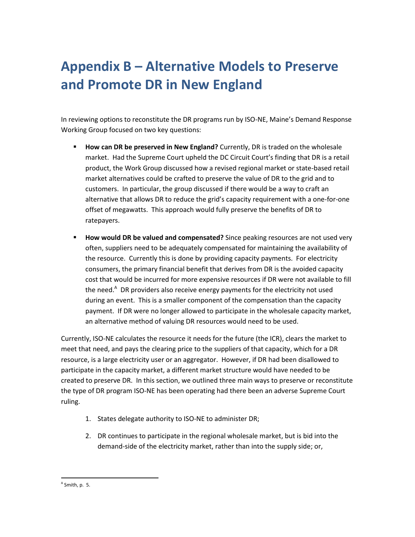## **Appendix B – Alternative Models to Preserve and Promote DR in New England**

In reviewing options to reconstitute the DR programs run by ISO-NE, Maine's Demand Response Working Group focused on two key questions:

- **How can DR be preserved in New England?** Currently, DR is traded on the wholesale market. Had the Supreme Court upheld the DC Circuit Court's finding that DR is a retail product, the Work Group discussed how a revised regional market or state-based retail market alternatives could be crafted to preserve the value of DR to the grid and to customers. In particular, the group discussed if there would be a way to craft an alternative that allows DR to reduce the grid's capacity requirement with a one-for-one offset of megawatts. This approach would fully preserve the benefits of DR to ratepayers.
- **How would DR be valued and compensated?** Since peaking resources are not used very often, suppliers need to be adequately compensated for maintaining the availability of the resource. Currently this is done by providing capacity payments. For electricity consumers, the primary financial benefit that derives from DR is the avoided capacity cost that would be incurred for more expensive resources if DR were not available to fill the need.<sup>A</sup> DR providers also receive energy payments for the electricity not used during an event. This is a smaller component of the compensation than the capacity payment. If DR were no longer allowed to participate in the wholesale capacity market, an alternative method of valuing DR resources would need to be used.

Currently, ISO-NE calculates the resource it needs for the future (the ICR), clears the market to meet that need, and pays the clearing price to the suppliers of that capacity, which for a DR resource, is a large electricity user or an aggregator. However, if DR had been disallowed to participate in the capacity market, a different market structure would have needed to be created to preserve DR. In this section, we outlined three main ways to preserve or reconstitute the type of DR program ISO-NE has been operating had there been an adverse Supreme Court ruling.

- 1. States delegate authority to ISO-NE to administer DR;
- 2. DR continues to participate in the regional wholesale market, but is bid into the demand-side of the electricity market, rather than into the supply side; or,

 $\overline{\phantom{a}}$  $^{\circ}$  Smith, p. 5.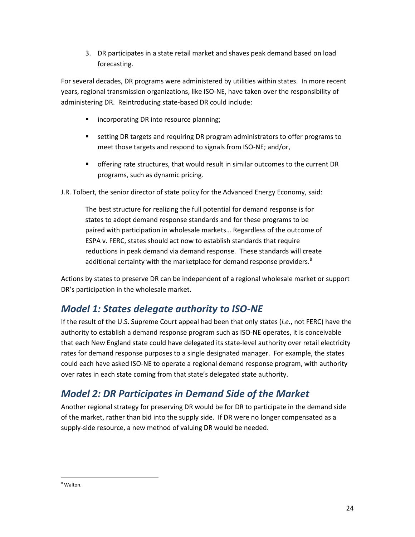3. DR participates in a state retail market and shaves peak demand based on load forecasting.

For several decades, DR programs were administered by utilities within states. In more recent years, regional transmission organizations, like ISO-NE, have taken over the responsibility of administering DR. Reintroducing state-based DR could include:

- **EXEDENT INCORPORATION INCORDING** incorporating DR into resource planning;
- setting DR targets and requiring DR program administrators to offer programs to meet those targets and respond to signals from ISO-NE; and/or,
- offering rate structures, that would result in similar outcomes to the current DR programs, such as dynamic pricing.

J.R. Tolbert, the senior director of state policy for the Advanced Energy Economy, said:

The best structure for realizing the full potential for demand response is for states to adopt demand response standards and for these programs to be paired with participation in wholesale markets… Regardless of the outcome of ESPA v. FERC, states should act now to establish standards that require reductions in peak demand via demand response. These standards will create additional certainty with the marketplace for demand response providers.<sup>B</sup>

Actions by states to preserve DR can be independent of a regional wholesale market or support DR's participation in the wholesale market.

### *Model 1: States delegate authority to ISO-NE*

If the result of the U.S. Supreme Court appeal had been that only states (*i.e.*, not FERC) have the authority to establish a demand response program such as ISO-NE operates, it is conceivable that each New England state could have delegated its state-level authority over retail electricity rates for demand response purposes to a single designated manager. For example, the states could each have asked ISO-NE to operate a regional demand response program, with authority over rates in each state coming from that state's delegated state authority.

### *Model 2: DR Participates in Demand Side of the Market*

Another regional strategy for preserving DR would be for DR to participate in the demand side of the market, rather than bid into the supply side. If DR were no longer compensated as a supply-side resource, a new method of valuing DR would be needed.

 $\overline{\phantom{a}}$ B Walton.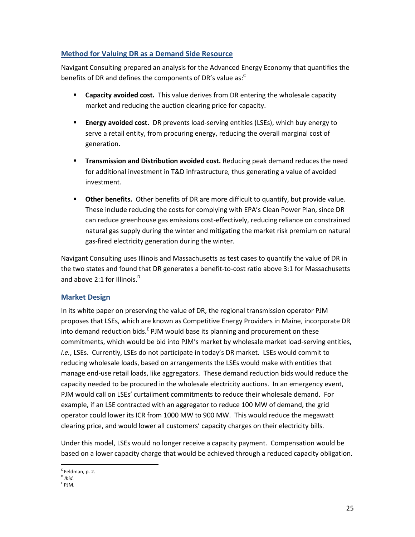#### **Method for Valuing DR as a Demand Side Resource**

Navigant Consulting prepared an analysis for the Advanced Energy Economy that quantifies the benefits of DR and defines the components of DR's value as:<sup>C</sup>

- **Capacity avoided cost.** This value derives from DR entering the wholesale capacity market and reducing the auction clearing price for capacity.
- **Energy avoided cost.** DR prevents load-serving entities (LSEs), which buy energy to serve a retail entity, from procuring energy, reducing the overall marginal cost of generation.
- **Transmission and Distribution avoided cost.** Reducing peak demand reduces the need for additional investment in T&D infrastructure, thus generating a value of avoided investment.
- **Other benefits.** Other benefits of DR are more difficult to quantify, but provide value. These include reducing the costs for complying with EPA's Clean Power Plan, since DR can reduce greenhouse gas emissions cost-effectively, reducing reliance on constrained natural gas supply during the winter and mitigating the market risk premium on natural gas-fired electricity generation during the winter.

Navigant Consulting uses Illinois and Massachusetts as test cases to quantify the value of DR in the two states and found that DR generates a benefit-to-cost ratio above 3:1 for Massachusetts and above 2:1 for Illinois. $<sup>D</sup>$ </sup>

#### **Market Design**

In its white paper on preserving the value of DR, the regional transmission operator PJM proposes that LSEs, which are known as Competitive Energy Providers in Maine, incorporate DR into demand reduction bids.<sup>E</sup> PJM would base its planning and procurement on these commitments, which would be bid into PJM's market by wholesale market load-serving entities, *i.e.*, LSEs. Currently, LSEs do not participate in today's DR market. LSEs would commit to reducing wholesale loads, based on arrangements the LSEs would make with entities that manage end-use retail loads, like aggregators. These demand reduction bids would reduce the capacity needed to be procured in the wholesale electricity auctions. In an emergency event, PJM would call on LSEs' curtailment commitments to reduce their wholesale demand. For example, if an LSE contracted with an aggregator to reduce 100 MW of demand, the grid operator could lower its ICR from 1000 MW to 900 MW. This would reduce the megawatt clearing price, and would lower all customers' capacity charges on their electricity bills.

Under this model, LSEs would no longer receive a capacity payment. Compensation would be based on a lower capacity charge that would be achieved through a reduced capacity obligation.

 $\overline{a}$ <sup>c</sup> Feldman, p. 2.

D *Ibid.*

E PJM.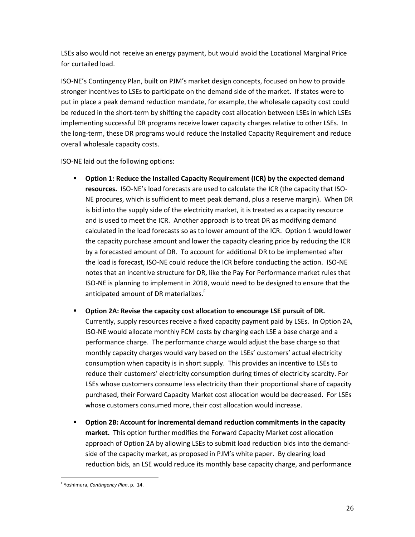LSEs also would not receive an energy payment, but would avoid the Locational Marginal Price for curtailed load.

ISO-NE's Contingency Plan, built on PJM's market design concepts, focused on how to provide stronger incentives to LSEs to participate on the demand side of the market. If states were to put in place a peak demand reduction mandate, for example, the wholesale capacity cost could be reduced in the short-term by shifting the capacity cost allocation between LSEs in which LSEs implementing successful DR programs receive lower capacity charges relative to other LSEs. In the long-term, these DR programs would reduce the Installed Capacity Requirement and reduce overall wholesale capacity costs.

ISO-NE laid out the following options:

- **Option 1: Reduce the Installed Capacity Requirement (ICR) by the expected demand resources.** ISO-NE's load forecasts are used to calculate the ICR (the capacity that ISO-NE procures, which is sufficient to meet peak demand, plus a reserve margin). When DR is bid into the supply side of the electricity market, it is treated as a capacity resource and is used to meet the ICR. Another approach is to treat DR as modifying demand calculated in the load forecasts so as to lower amount of the ICR. Option 1 would lower the capacity purchase amount and lower the capacity clearing price by reducing the ICR by a forecasted amount of DR. To account for additional DR to be implemented after the load is forecast, ISO-NE could reduce the ICR before conducting the action. ISO-NE notes that an incentive structure for DR, like the Pay For Performance market rules that ISO-NE is planning to implement in 2018, would need to be designed to ensure that the anticipated amount of DR materializes.<sup>F</sup>
- **Option 2A: Revise the capacity cost allocation to encourage LSE pursuit of DR.** Currently, supply resources receive a fixed capacity payment paid by LSEs. In Option 2A, ISO-NE would allocate monthly FCM costs by charging each LSE a base charge and a performance charge. The performance charge would adjust the base charge so that monthly capacity charges would vary based on the LSEs' customers' actual electricity consumption when capacity is in short supply. This provides an incentive to LSEs to reduce their customers' electricity consumption during times of electricity scarcity. For LSEs whose customers consume less electricity than their proportional share of capacity purchased, their Forward Capacity Market cost allocation would be decreased. For LSEs whose customers consumed more, their cost allocation would increase.
- **Option 2B: Account for incremental demand reduction commitments in the capacity market.** This option further modifies the Forward Capacity Market cost allocation approach of Option 2A by allowing LSEs to submit load reduction bids into the demandside of the capacity market, as proposed in PJM's white paper. By clearing load reduction bids, an LSE would reduce its monthly base capacity charge, and performance

 $\overline{\phantom{a}}$ F Yoshimura, *Contingency Plan*, p. 14.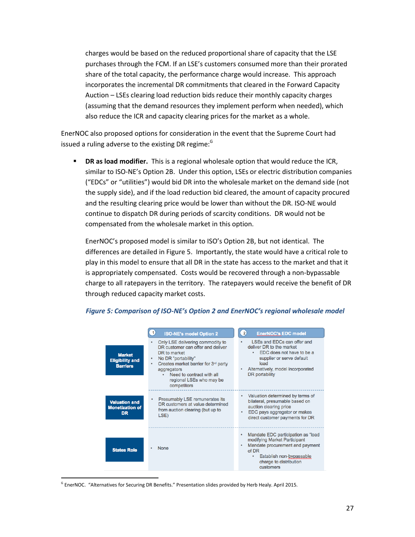charges would be based on the reduced proportional share of capacity that the LSE purchases through the FCM. If an LSE's customers consumed more than their prorated share of the total capacity, the performance charge would increase. This approach incorporates the incremental DR commitments that cleared in the Forward Capacity Auction – LSEs clearing load reduction bids reduce their monthly capacity charges (assuming that the demand resources they implement perform when needed), which also reduce the ICR and capacity clearing prices for the market as a whole.

EnerNOC also proposed options for consideration in the event that the Supreme Court had issued a ruling adverse to the existing DR regime: $<sup>G</sup>$ </sup>

**DR as load modifier.** This is a regional wholesale option that would reduce the ICR, similar to ISO-NE's Option 2B. Under this option, LSEs or electric distribution companies ("EDCs" or "utilities") would bid DR into the wholesale market on the demand side (not the supply side), and if the load reduction bid cleared, the amount of capacity procured and the resulting clearing price would be lower than without the DR. ISO-NE would continue to dispatch DR during periods of scarcity conditions. DR would not be compensated from the wholesale market in this option.

EnerNOC's proposed model is similar to ISO's Option 2B, but not identical. The differences are detailed in Figure 5. Importantly, the state would have a critical role to play in this model to ensure that all DR in the state has access to the market and that it is appropriately compensated. Costs would be recovered through a non-bypassable charge to all ratepayers in the territory. The ratepayers would receive the benefit of DR through reduced capacity market costs.

|                                                             | $\vert$ 1<br><b>ISO-NE's model Option 2</b>                                                                                                                                                                                                                        | $\bullet$<br><b>EnerNOC's EDC model</b>                                                                                                                                                         |
|-------------------------------------------------------------|--------------------------------------------------------------------------------------------------------------------------------------------------------------------------------------------------------------------------------------------------------------------|-------------------------------------------------------------------------------------------------------------------------------------------------------------------------------------------------|
| <b>Market</b><br><b>Eligibility and</b><br><b>Barriers</b>  | Only LSE delivering commodity to<br>DR customer can offer and deliver<br>DR to market<br>No DR "portability"<br>٠<br>Creates market barrier for 3rd party<br>٠<br>aggregators<br>Need to contract with all<br>$\bullet$<br>regional LSEs who may be<br>competitors | LSEs and EDCs can offer and<br>deliver DR to the market<br>EDC does not have to be a<br>supplier or serve default<br>load<br>Alternatively, model incorporated<br>DR portability                |
| <b>Valuation and</b><br><b>Monetization of</b><br><b>DR</b> | Presumably LSE remunerates its<br>٠<br>DR customers at value determined<br>from auction clearing (but up to<br>LSE)                                                                                                                                                | Valuation determined by terms of<br>bilateral, presumable based on<br>auction clearing price<br>EDC pays aggregator or makes<br>direct customer payments for DR                                 |
| <b>States Role</b>                                          | <b>None</b>                                                                                                                                                                                                                                                        | Mandate EDC participation as "load"<br>modifying Market Participant<br>Mandate procurement and payment<br>of DR<br>Establish non-bypassable<br>$\bullet$<br>charge to distribution<br>customers |

#### *Figure 5: Comparison of ISO-NE's Option 2 and EnerNOC's regional wholesale model*

 $\overline{\phantom{a}}$ 

<sup>&</sup>lt;sup>G</sup> EnerNOC. "Alternatives for Securing DR Benefits." Presentation slides provided by Herb Healy. April 2015.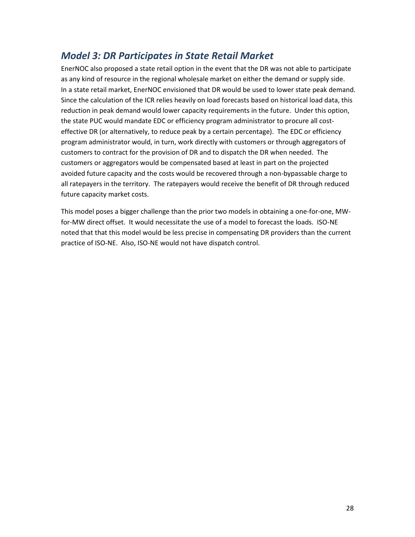### *Model 3: DR Participates in State Retail Market*

EnerNOC also proposed a state retail option in the event that the DR was not able to participate as any kind of resource in the regional wholesale market on either the demand or supply side. In a state retail market, EnerNOC envisioned that DR would be used to lower state peak demand. Since the calculation of the ICR relies heavily on load forecasts based on historical load data, this reduction in peak demand would lower capacity requirements in the future. Under this option, the state PUC would mandate EDC or efficiency program administrator to procure all costeffective DR (or alternatively, to reduce peak by a certain percentage). The EDC or efficiency program administrator would, in turn, work directly with customers or through aggregators of customers to contract for the provision of DR and to dispatch the DR when needed. The customers or aggregators would be compensated based at least in part on the projected avoided future capacity and the costs would be recovered through a non-bypassable charge to all ratepayers in the territory. The ratepayers would receive the benefit of DR through reduced future capacity market costs.

This model poses a bigger challenge than the prior two models in obtaining a one-for-one, MWfor-MW direct offset. It would necessitate the use of a model to forecast the loads. ISO-NE noted that that this model would be less precise in compensating DR providers than the current practice of ISO-NE. Also, ISO-NE would not have dispatch control.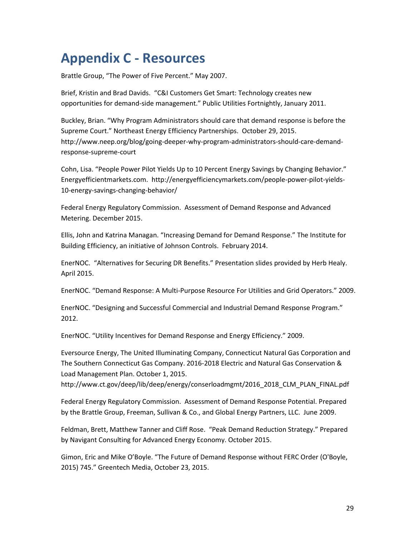## **Appendix C - Resources**

Brattle Group, "The Power of Five Percent." May 2007.

Brief, Kristin and Brad Davids. "C&I Customers Get Smart: Technology creates new opportunities for demand-side management." Public Utilities Fortnightly, January 2011.

Buckley, Brian. "Why Program Administrators should care that demand response is before the Supreme Court." Northeast Energy Efficiency Partnerships. October 29, 2015. [http://www.neep.org/blog/going-deeper-why-program-administrators-should-care-demand](http://www.neep.org/blog/going-deeper-why-program-administrators-should-care-demand-response-supreme-court)[response-supreme-court](http://www.neep.org/blog/going-deeper-why-program-administrators-should-care-demand-response-supreme-court)

Cohn, Lisa. "People Power Pilot Yields Up to 10 Percent Energy Savings by Changing Behavior." Energyefficientmarkets.com. [http://energyefficiencymarkets.com/people-power-pilot-yields-](http://energyefficiencymarkets.com/people-power-pilot-yields-10-energy-savings-changing-behavior/)[10-energy-savings-changing-behavior/](http://energyefficiencymarkets.com/people-power-pilot-yields-10-energy-savings-changing-behavior/)

Federal Energy Regulatory Commission. Assessment of Demand Response and Advanced Metering. December 2015.

Ellis, John and Katrina Managan. "Increasing Demand for Demand Response." The Institute for Building Efficiency, an initiative of Johnson Controls. February 2014.

EnerNOC. "Alternatives for Securing DR Benefits." Presentation slides provided by Herb Healy. April 2015.

EnerNOC. "Demand Response: A Multi-Purpose Resource For Utilities and Grid Operators." 2009.

EnerNOC. "Designing and Successful Commercial and Industrial Demand Response Program." 2012.

EnerNOC. "Utility Incentives for Demand Response and Energy Efficiency." 2009.

Eversource Energy, The United Illuminating Company, Connecticut Natural Gas Corporation and The Southern Connecticut Gas Company. 2016-2018 Electric and Natural Gas Conservation & Load Management Plan. October 1, 2015.

http://www.ct.gov/deep/lib/deep/energy/conserloadmgmt/2016\_2018\_CLM\_PLAN\_FINAL.pdf

Federal Energy Regulatory Commission. Assessment of Demand Response Potential. Prepared by the Brattle Group, Freeman, Sullivan & Co., and Global Energy Partners, LLC. June 2009.

Feldman, Brett, Matthew Tanner and Cliff Rose. "Peak Demand Reduction Strategy." Prepared by Navigant Consulting for Advanced Energy Economy. October 2015.

Gimon, Eric and Mike O'Boyle. "The Future of Demand Response without FERC Order (O'Boyle, 2015) 745." Greentech Media, October 23, 2015.